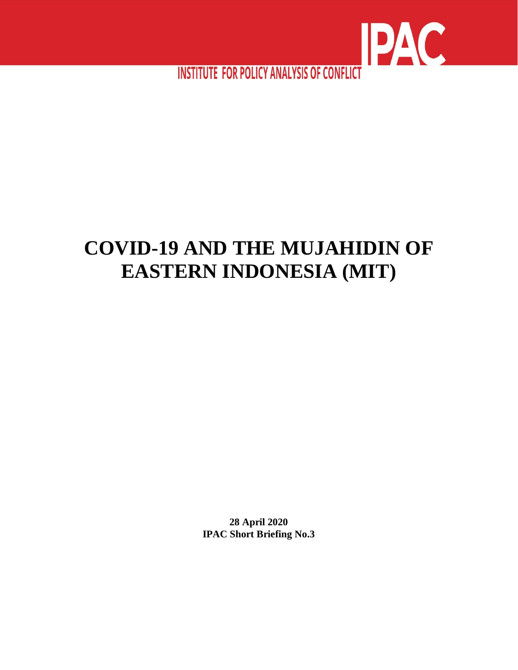

**INSTITUTE FOR POLICY ANALYSIS OF CONFLICT** 

# **COVID-19 AND THE MUJAHIDIN OF EASTERN INDONESIA (MIT)**

**28 April 2020 IPAC Short Briefing No.3**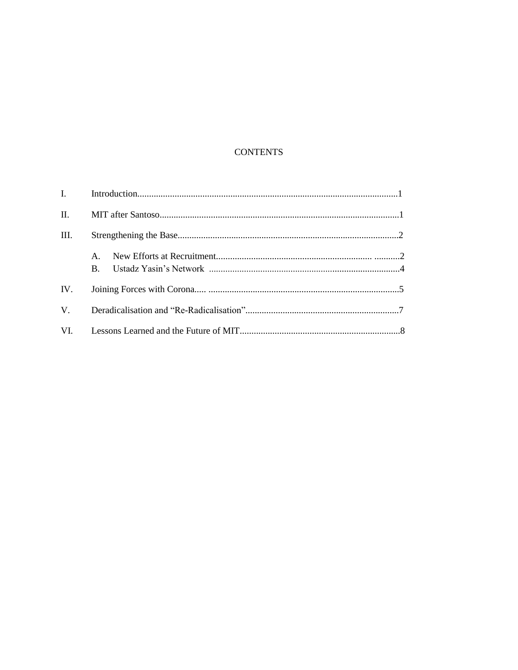## **CONTENTS**

| $\mathbf{I}$ , $\mathbf{I}$ |                                |  |
|-----------------------------|--------------------------------|--|
| $\Pi$ .                     |                                |  |
| III.                        |                                |  |
|                             | $\mathbf{A}$<br>$\mathbf{B}$ . |  |
| IV.                         |                                |  |
| $V_{\cdot}$                 |                                |  |
|                             |                                |  |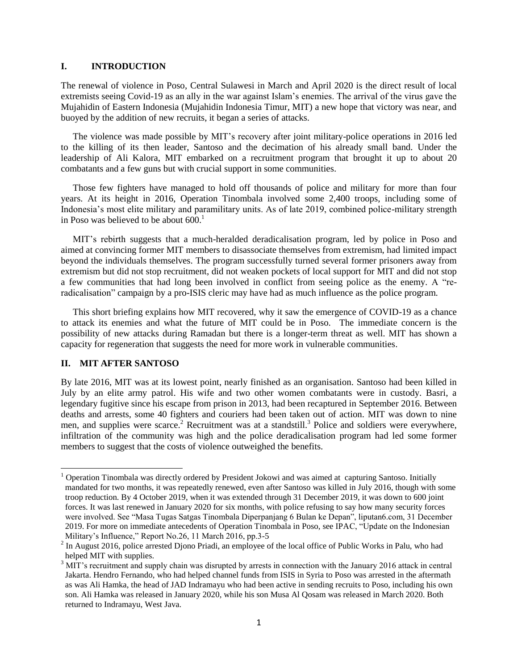#### **I. INTRODUCTION**

The renewal of violence in Poso, Central Sulawesi in March and April 2020 is the direct result of local extremists seeing Covid-19 as an ally in the war against Islam's enemies. The arrival of the virus gave the Mujahidin of Eastern Indonesia (Mujahidin Indonesia Timur, MIT) a new hope that victory was near, and buoyed by the addition of new recruits, it began a series of attacks.

The violence was made possible by MIT's recovery after joint military-police operations in 2016 led to the killing of its then leader, Santoso and the decimation of his already small band. Under the leadership of Ali Kalora, MIT embarked on a recruitment program that brought it up to about 20 combatants and a few guns but with crucial support in some communities.

Those few fighters have managed to hold off thousands of police and military for more than four years. At its height in 2016, Operation Tinombala involved some 2,400 troops, including some of Indonesia's most elite military and paramilitary units. As of late 2019, combined police-military strength in Poso was believed to be about  $600<sup>1</sup>$ 

MIT's rebirth suggests that a much-heralded deradicalisation program, led by police in Poso and aimed at convincing former MIT members to disassociate themselves from extremism, had limited impact beyond the individuals themselves. The program successfully turned several former prisoners away from extremism but did not stop recruitment, did not weaken pockets of local support for MIT and did not stop a few communities that had long been involved in conflict from seeing police as the enemy. A "reradicalisation" campaign by a pro-ISIS cleric may have had as much influence as the police program.

This short briefing explains how MIT recovered, why it saw the emergence of COVID-19 as a chance to attack its enemies and what the future of MIT could be in Poso. The immediate concern is the possibility of new attacks during Ramadan but there is a longer-term threat as well. MIT has shown a capacity for regeneration that suggests the need for more work in vulnerable communities.

## **II. MIT AFTER SANTOSO**

 $\overline{a}$ 

By late 2016, MIT was at its lowest point, nearly finished as an organisation. Santoso had been killed in July by an elite army patrol. His wife and two other women combatants were in custody. Basri, a legendary fugitive since his escape from prison in 2013, had been recaptured in September 2016. Between deaths and arrests, some 40 fighters and couriers had been taken out of action. MIT was down to nine men, and supplies were scarce.<sup>2</sup> Recruitment was at a standstill.<sup>3</sup> Police and soldiers were everywhere, infiltration of the community was high and the police deradicalisation program had led some former members to suggest that the costs of violence outweighed the benefits.

 $1$  Operation Tinombala was directly ordered by President Jokowi and was aimed at capturing Santoso. Initially mandated for two months, it was repeatedly renewed, even after Santoso was killed in July 2016, though with some troop reduction. By 4 October 2019, when it was extended through 31 December 2019, it was down to 600 joint forces. It was last renewed in January 2020 for six months, with police refusing to say how many security forces were involved. See "Masa Tugas Satgas Tinombala Diperpanjang 6 Bulan ke Depan", liputan6.com, 31 December 2019. For more on immediate antecedents of Operation Tinombala in Poso, see IPAC, "Update on the Indonesian Military's Influence," Report No.26, 11 March 2016, pp.3-5

 $2 \text{ In August 2016, police arrested Djono Priadi, an employee of the local office of Public Works in Palu, who had$ helped MIT with supplies.

<sup>&</sup>lt;sup>3</sup> MIT's recruitment and supply chain was disrupted by arrests in connection with the January 2016 attack in central Jakarta. Hendro Fernando, who had helped channel funds from ISIS in Syria to Poso was arrested in the aftermath as was Ali Hamka, the head of JAD Indramayu who had been active in sending recruits to Poso, including his own son. Ali Hamka was released in January 2020, while his son Musa Al Qosam was released in March 2020. Both returned to Indramayu, West Java.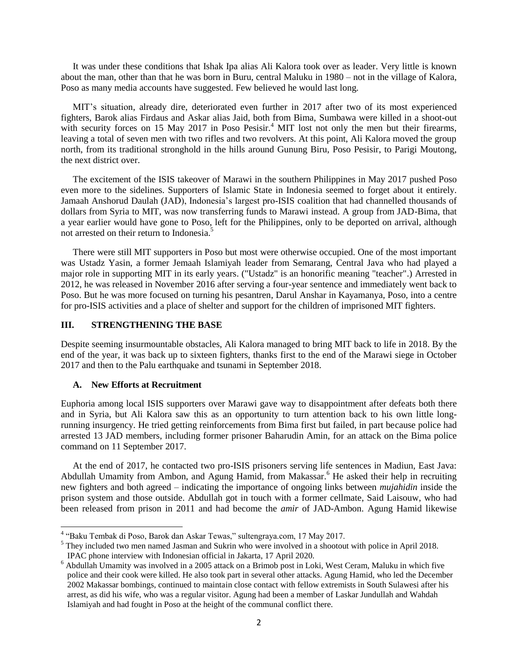It was under these conditions that Ishak Ipa alias Ali Kalora took over as leader. Very little is known about the man, other than that he was born in Buru, central Maluku in 1980 – not in the village of Kalora, Poso as many media accounts have suggested. Few believed he would last long.

MIT's situation, already dire, deteriorated even further in 2017 after two of its most experienced fighters, Barok alias Firdaus and Askar alias Jaid, both from Bima, Sumbawa were killed in a shoot-out with security forces on 15 May 2017 in Poso Pesisir.<sup>4</sup> MIT lost not only the men but their firearms, leaving a total of seven men with two rifles and two revolvers. At this point, Ali Kalora moved the group north, from its traditional stronghold in the hills around Gunung Biru, Poso Pesisir, to Parigi Moutong, the next district over.

The excitement of the ISIS takeover of Marawi in the southern Philippines in May 2017 pushed Poso even more to the sidelines. Supporters of Islamic State in Indonesia seemed to forget about it entirely. Jamaah Anshorud Daulah (JAD), Indonesia's largest pro-ISIS coalition that had channelled thousands of dollars from Syria to MIT, was now transferring funds to Marawi instead. A group from JAD-Bima, that a year earlier would have gone to Poso, left for the Philippines, only to be deported on arrival, although not arrested on their return to Indonesia. 5

There were still MIT supporters in Poso but most were otherwise occupied. One of the most important was Ustadz Yasin, a former Jemaah Islamiyah leader from Semarang, Central Java who had played a major role in supporting MIT in its early years. ("Ustadz" is an honorific meaning "teacher".) Arrested in 2012, he was released in November 2016 after serving a four-year sentence and immediately went back to Poso. But he was more focused on turning his pesantren, Darul Anshar in Kayamanya, Poso, into a centre for pro-ISIS activities and a place of shelter and support for the children of imprisoned MIT fighters.

## **III. STRENGTHENING THE BASE**

Despite seeming insurmountable obstacles, Ali Kalora managed to bring MIT back to life in 2018. By the end of the year, it was back up to sixteen fighters, thanks first to the end of the Marawi siege in October 2017 and then to the Palu earthquake and tsunami in September 2018.

#### **A. New Efforts at Recruitment**

Euphoria among local ISIS supporters over Marawi gave way to disappointment after defeats both there and in Syria, but Ali Kalora saw this as an opportunity to turn attention back to his own little longrunning insurgency. He tried getting reinforcements from Bima first but failed, in part because police had arrested 13 JAD members, including former prisoner Baharudin Amin, for an attack on the Bima police command on 11 September 2017.

At the end of 2017, he contacted two pro-ISIS prisoners serving life sentences in Madiun, East Java: Abdullah Umamity from Ambon, and Agung Hamid, from Makassar.<sup>6</sup> He asked their help in recruiting new fighters and both agreed – indicating the importance of ongoing links between *mujahidin* inside the prison system and those outside. Abdullah got in touch with a former cellmate, Said Laisouw, who had been released from prison in 2011 and had become the *amir* of JAD-Ambon. Agung Hamid likewise

 4 "Baku Tembak di Poso, Barok dan Askar Tewas," sultengraya.com, 17 May 2017.

<sup>&</sup>lt;sup>5</sup> They included two men named Jasman and Sukrin who were involved in a shootout with police in April 2018. IPAC phone interview with Indonesian official in Jakarta, 17 April 2020.

<sup>&</sup>lt;sup>6</sup> Abdullah Umamity was involved in a 2005 attack on a Brimob post in Loki, West Ceram, Maluku in which five police and their cook were killed. He also took part in several other attacks. Agung Hamid, who led the December 2002 Makassar bombings, continued to maintain close contact with fellow extremists in South Sulawesi after his arrest, as did his wife, who was a regular visitor. Agung had been a member of Laskar Jundullah and Wahdah Islamiyah and had fought in Poso at the height of the communal conflict there.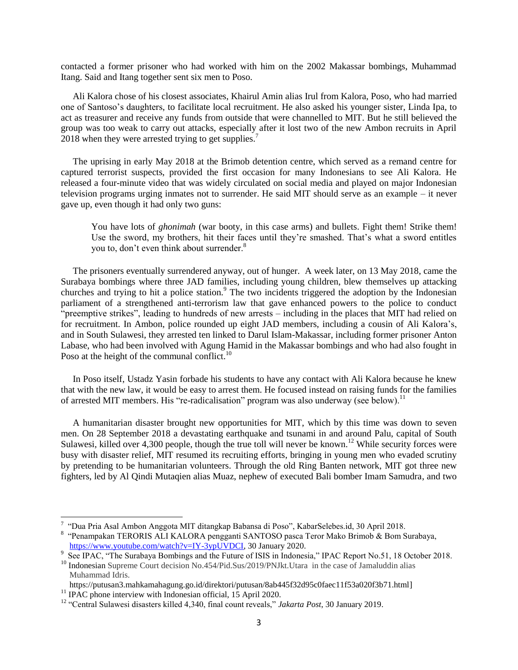contacted a former prisoner who had worked with him on the 2002 Makassar bombings, Muhammad Itang. Said and Itang together sent six men to Poso.

Ali Kalora chose of his closest associates, Khairul Amin alias Irul from Kalora, Poso, who had married one of Santoso's daughters, to facilitate local recruitment. He also asked his younger sister, Linda Ipa, to act as treasurer and receive any funds from outside that were channelled to MIT. But he still believed the group was too weak to carry out attacks, especially after it lost two of the new Ambon recruits in April 2018 when they were arrested trying to get supplies.<sup>7</sup>

The uprising in early May 2018 at the Brimob detention centre, which served as a remand centre for captured terrorist suspects, provided the first occasion for many Indonesians to see Ali Kalora. He released a four-minute video that was widely circulated on social media and played on major Indonesian television programs urging inmates not to surrender. He said MIT should serve as an example – it never gave up, even though it had only two guns:

You have lots of *ghonimah* (war booty, in this case arms) and bullets. Fight them! Strike them! Use the sword, my brothers, hit their faces until they're smashed. That's what a sword entitles you to, don't even think about surrender.<sup>8</sup>

The prisoners eventually surrendered anyway, out of hunger. A week later, on 13 May 2018, came the Surabaya bombings where three JAD families, including young children, blew themselves up attacking churches and trying to hit a police station.<sup>9</sup> The two incidents triggered the adoption by the Indonesian parliament of a strengthened anti-terrorism law that gave enhanced powers to the police to conduct "preemptive strikes", leading to hundreds of new arrests – including in the places that MIT had relied on for recruitment. In Ambon, police rounded up eight JAD members, including a cousin of Ali Kalora's, and in South Sulawesi, they arrested ten linked to Darul Islam-Makassar, including former prisoner Anton Labase, who had been involved with Agung Hamid in the Makassar bombings and who had also fought in Poso at the height of the communal conflict.<sup>10</sup>

In Poso itself, Ustadz Yasin forbade his students to have any contact with Ali Kalora because he knew that with the new law, it would be easy to arrest them. He focused instead on raising funds for the families of arrested MIT members. His "re-radicalisation" program was also underway (see below).<sup>11</sup>

A humanitarian disaster brought new opportunities for MIT, which by this time was down to seven men. On 28 September 2018 a devastating earthquake and tsunami in and around Palu, capital of South Sulawesi, killed over 4,300 people, though the true toll will never be known.<sup>12</sup> While security forces were busy with disaster relief, MIT resumed its recruiting efforts, bringing in young men who evaded scrutiny by pretending to be humanitarian volunteers. Through the old Ring Banten network, MIT got three new fighters, led by Al Qindi Mutaqien alias Muaz, nephew of executed Bali bomber Imam Samudra, and two

 7 "Dua Pria Asal Ambon Anggota MIT ditangkap Babansa di Poso", KabarSelebes.id, 30 April 2018.

<sup>&</sup>lt;sup>8</sup> "Penampakan TERORIS ALI KALORA pengganti SANTOSO pasca Teror Mako Brimob & Bom Surabaya, [https://www.youtube.com/watch?v=IY-3ypUVDCI,](https://www.youtube.com/watch?v=IY-3ypUVDCI) 30 January 2020.

<sup>9</sup> See IPAC, "The Surabaya Bombings and the Future of ISIS in Indonesia," IPAC Report No.51, 18 October 2018. <sup>10</sup> Indonesian Supreme Court decision No.454/Pid.Sus/2019/PNJkt.Utara in the case of Jamaluddin alias

Muhammad Idris.

[https://putusan3.mahkamahagung.go.id/direktori/putusan/8ab445f32d95c0faec11f53a020f3b71.html\]](https://putusan3.mahkamahagung.go.id/direktori/putusan/8ab445f32d95c0faec11f53a020f3b71.html) <sup>11</sup> IPAC phone interview with Indonesian official, 15 April 2020.

<sup>12</sup> "Central Sulawesi disasters killed 4,340, final count reveals," *Jakarta Post*, 30 January 2019.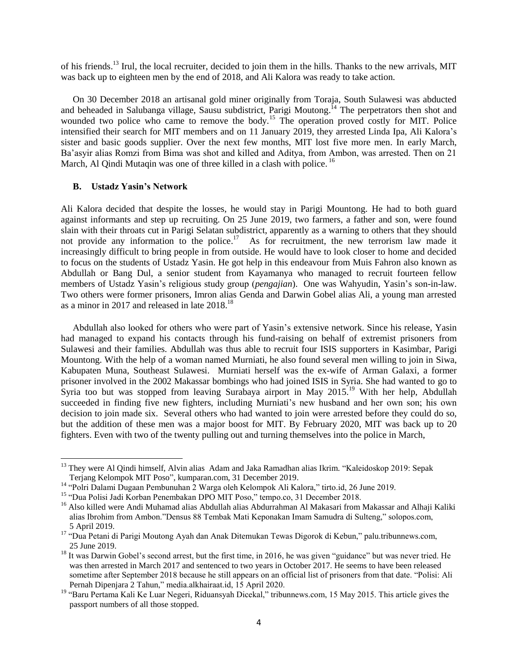of his friends.<sup>13</sup> Irul, the local recruiter, decided to join them in the hills. Thanks to the new arrivals, MIT was back up to eighteen men by the end of 2018, and Ali Kalora was ready to take action.

On 30 December 2018 an artisanal gold miner originally from Toraja, South Sulawesi was abducted and beheaded in Salubanga village, Sausu subdistrict, Parigi Moutong.<sup>14</sup> The perpetrators then shot and wounded two police who came to remove the body.<sup>15</sup> The operation proved costly for MIT. Police intensified their search for MIT members and on 11 January 2019, they arrested Linda Ipa, Ali Kalora's sister and basic goods supplier. Over the next few months, MIT lost five more men. In early March, Ba'asyir alias Romzi from Bima was shot and killed and Aditya, from Ambon, was arrested. Then on 21 March, Al Qindi Mutaqin was one of three killed in a clash with police.<sup>16</sup>

#### **B. Ustadz Yasin's Network**

l

Ali Kalora decided that despite the losses, he would stay in Parigi Mountong. He had to both guard against informants and step up recruiting. On 25 June 2019, two farmers, a father and son, were found slain with their throats cut in Parigi Selatan subdistrict, apparently as a warning to others that they should not provide any information to the police.<sup>17</sup> As for recruitment, the new terrorism law made it increasingly difficult to bring people in from outside. He would have to look closer to home and decided to focus on the students of Ustadz Yasin. He got help in this endeavour from Muis Fahron also known as Abdullah or Bang Dul, a senior student from Kayamanya who managed to recruit fourteen fellow members of Ustadz Yasin's religious study group (*pengajian*). One was Wahyudin, Yasin's son-in-law. Two others were former prisoners, Imron alias Genda and Darwin Gobel alias Ali, a young man arrested as a minor in 2017 and released in late  $2018^{18}$ 

Abdullah also looked for others who were part of Yasin's extensive network. Since his release, Yasin had managed to expand his contacts through his fund-raising on behalf of extremist prisoners from Sulawesi and their families. Abdullah was thus able to recruit four ISIS supporters in Kasimbar, Parigi Mountong. With the help of a woman named Murniati, he also found several men willing to join in Siwa, Kabupaten Muna, Southeast Sulawesi. Murniati herself was the ex-wife of Arman Galaxi, a former prisoner involved in the 2002 Makassar bombings who had joined ISIS in Syria. She had wanted to go to Syria too but was stopped from leaving Surabaya airport in May 2015.<sup>19</sup> With her help, Abdullah succeeded in finding five new fighters, including Murniati's new husband and her own son; his own decision to join made six. Several others who had wanted to join were arrested before they could do so, but the addition of these men was a major boost for MIT. By February 2020, MIT was back up to 20 fighters. Even with two of the twenty pulling out and turning themselves into the police in March,

<sup>&</sup>lt;sup>13</sup> They were Al Qindi himself, Alvin alias Adam and Jaka Ramadhan alias Ikrim. "Kaleidoskop 2019: Sepak Terjang Kelompok MIT Poso", kumparan.com, 31 December 2019.

<sup>14</sup> "Polri Dalami Dugaan Pembunuhan 2 Warga oleh Kelompok Ali Kalora," tirto.id, 26 June 2019.

<sup>&</sup>lt;sup>15</sup> "Dua Polisi Jadi Korban Penembakan DPO MIT Poso," tempo.co, 31 December 2018.

<sup>&</sup>lt;sup>16</sup> Also killed were Andi Muhamad alias Abdullah alias Abdurrahman Al Makasari from Makassar and Alhaji Kaliki alias Ibrohim from Ambon."Densus 88 Tembak Mati Keponakan Imam Samudra di Sulteng," solopos.com, 5 April 2019.

<sup>&</sup>lt;sup>17</sup> "Dua Petani di Parigi Moutong Ayah dan Anak Ditemukan Tewas Digorok di Kebun," palu.tribunnews.com, 25 June 2019.

<sup>&</sup>lt;sup>18</sup> It was Darwin Gobel's second arrest, but the first time, in 2016, he was given "guidance" but was never tried. He was then arrested in March 2017 and sentenced to two years in October 2017. He seems to have been released sometime after September 2018 because he still appears on an official list of prisoners from that date. "Polisi: Ali Pernah Dipenjara 2 Tahun," media.alkhairaat.id, 15 April 2020.

<sup>19</sup> "Baru Pertama Kali Ke Luar Negeri, Riduansyah Dicekal," tribunnews.com, 15 May 2015. This article gives the passport numbers of all those stopped.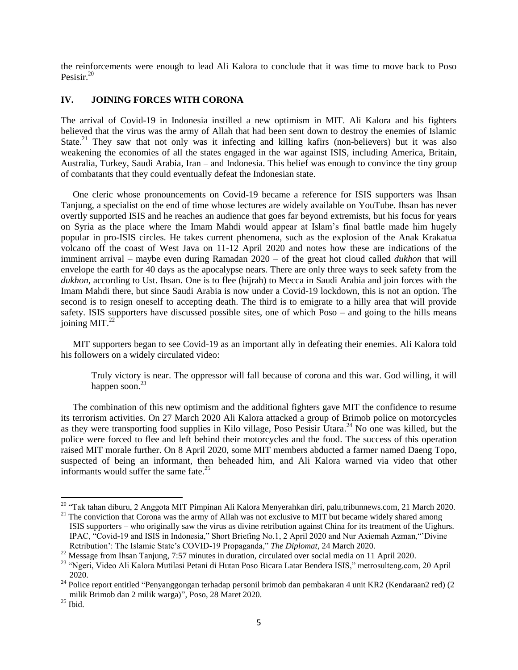the reinforcements were enough to lead Ali Kalora to conclude that it was time to move back to Poso Pesisir.<sup>20</sup>

## **IV. JOINING FORCES WITH CORONA**

The arrival of Covid-19 in Indonesia instilled a new optimism in MIT. Ali Kalora and his fighters believed that the virus was the army of Allah that had been sent down to destroy the enemies of Islamic State.<sup>21</sup> They saw that not only was it infecting and killing kafirs (non-believers) but it was also weakening the economies of all the states engaged in the war against ISIS, including America, Britain, Australia, Turkey, Saudi Arabia, Iran – and Indonesia. This belief was enough to convince the tiny group of combatants that they could eventually defeat the Indonesian state.

One cleric whose pronouncements on Covid-19 became a reference for ISIS supporters was Ihsan Tanjung, a specialist on the end of time whose lectures are widely available on YouTube. Ihsan has never overtly supported ISIS and he reaches an audience that goes far beyond extremists, but his focus for years on Syria as the place where the Imam Mahdi would appear at Islam's final battle made him hugely popular in pro-ISIS circles. He takes current phenomena, such as the explosion of the Anak Krakatua volcano off the coast of West Java on 11-12 April 2020 and notes how these are indications of the imminent arrival – maybe even during Ramadan 2020 – of the great hot cloud called *dukhon* that will envelope the earth for 40 days as the apocalypse nears. There are only three ways to seek safety from the *dukhon*, according to Ust. Ihsan*.* One is to flee (hijrah) to Mecca in Saudi Arabia and join forces with the Imam Mahdi there, but since Saudi Arabia is now under a Covid-19 lockdown, this is not an option. The second is to resign oneself to accepting death. The third is to emigrate to a hilly area that will provide safety. ISIS supporters have discussed possible sites, one of which Poso – and going to the hills means joining MIT. $^{22}$ 

MIT supporters began to see Covid-19 as an important ally in defeating their enemies. Ali Kalora told his followers on a widely circulated video:

Truly victory is near. The oppressor will fall because of corona and this war. God willing, it will happen soon. $^{23}$ 

The combination of this new optimism and the additional fighters gave MIT the confidence to resume its terrorism activities. On 27 March 2020 Ali Kalora attacked a group of Brimob police on motorcycles as they were transporting food supplies in Kilo village, Poso Pesisir Utara.<sup>24</sup> No one was killed, but the police were forced to flee and left behind their motorcycles and the food. The success of this operation raised MIT morale further. On 8 April 2020, some MIT members abducted a farmer named Daeng Topo, suspected of being an informant, then beheaded him, and Ali Kalora warned via video that other informants would suffer the same fate.<sup>25</sup>

 $\overline{a}$ 

<sup>&</sup>lt;sup>20</sup> "Tak tahan diburu, 2 Anggota MIT Pimpinan Ali Kalora Menyerahkan diri, palu,tribunnews.com, 21 March 2020.

<sup>&</sup>lt;sup>21</sup> The conviction that Corona was the army of Allah was not exclusive to MIT but became widely shared among ISIS supporters – who originally saw the virus as divine retribution against China for its treatment of the Uighurs. IPAC, "Covid-19 and ISIS in Indonesia," Short Briefing No.1, 2 April 2020 and Nur Axiemah Azman,"'Divine Retribution': The Islamic State's COVID-19 Propaganda," *The Diplomat*, 24 March 2020.

<sup>&</sup>lt;sup>22</sup> Message from Ihsan Tanjung, 7:57 minutes in duration, circulated over social media on 11 April 2020.

<sup>&</sup>lt;sup>23</sup> "Ngeri, Video Ali Kalora Mutilasi Petani di Hutan Poso Bicara Latar Bendera ISIS," metrosulteng.com, 20 April 2020.

<sup>&</sup>lt;sup>24</sup> Police report entitled "Penyanggongan terhadap personil brimob dan pembakaran 4 unit KR2 (Kendaraan2 red) (2 milik Brimob dan 2 milik warga)", Poso, 28 Maret 2020.

 $^\mathrm{25}$  Ibid.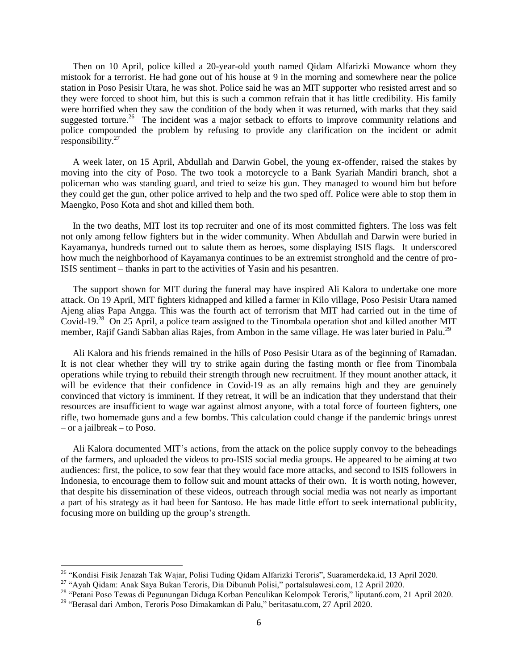Then on 10 April, police killed a 20-year-old youth named Qidam Alfarizki Mowance whom they mistook for a terrorist. He had gone out of his house at 9 in the morning and somewhere near the police station in Poso Pesisir Utara, he was shot. Police said he was an MIT supporter who resisted arrest and so they were forced to shoot him, but this is such a common refrain that it has little credibility. His family were horrified when they saw the condition of the body when it was returned, with marks that they said suggested torture.<sup>26</sup> The incident was a major setback to efforts to improve community relations and police compounded the problem by refusing to provide any clarification on the incident or admit responsibility. $27$ 

A week later, on 15 April, Abdullah and Darwin Gobel, the young ex-offender, raised the stakes by moving into the city of Poso. The two took a motorcycle to a Bank Syariah Mandiri branch, shot a policeman who was standing guard, and tried to seize his gun. They managed to wound him but before they could get the gun, other police arrived to help and the two sped off. Police were able to stop them in Maengko, Poso Kota and shot and killed them both.

In the two deaths, MIT lost its top recruiter and one of its most committed fighters. The loss was felt not only among fellow fighters but in the wider community. When Abdullah and Darwin were buried in Kayamanya, hundreds turned out to salute them as heroes, some displaying ISIS flags. It underscored how much the neighborhood of Kayamanya continues to be an extremist stronghold and the centre of pro-ISIS sentiment – thanks in part to the activities of Yasin and his pesantren.

The support shown for MIT during the funeral may have inspired Ali Kalora to undertake one more attack. On 19 April, MIT fighters kidnapped and killed a farmer in Kilo village, Poso Pesisir Utara named Ajeng alias Papa Angga. This was the fourth act of terrorism that MIT had carried out in the time of Covid-19.<sup>28</sup> On 25 April, a police team assigned to the Tinombala operation shot and killed another MIT member, Rajif Gandi Sabban alias Rajes, from Ambon in the same village. He was later buried in Palu.<sup>29</sup>

Ali Kalora and his friends remained in the hills of Poso Pesisir Utara as of the beginning of Ramadan. It is not clear whether they will try to strike again during the fasting month or flee from Tinombala operations while trying to rebuild their strength through new recruitment. If they mount another attack, it will be evidence that their confidence in Covid-19 as an ally remains high and they are genuinely convinced that victory is imminent. If they retreat, it will be an indication that they understand that their resources are insufficient to wage war against almost anyone, with a total force of fourteen fighters, one rifle, two homemade guns and a few bombs. This calculation could change if the pandemic brings unrest – or a jailbreak – to Poso.

Ali Kalora documented MIT's actions, from the attack on the police supply convoy to the beheadings of the farmers, and uploaded the videos to pro-ISIS social media groups. He appeared to be aiming at two audiences: first, the police, to sow fear that they would face more attacks, and second to ISIS followers in Indonesia, to encourage them to follow suit and mount attacks of their own. It is worth noting, however, that despite his dissemination of these videos, outreach through social media was not nearly as important a part of his strategy as it had been for Santoso. He has made little effort to seek international publicity, focusing more on building up the group's strength.

 $\overline{\phantom{a}}$ 

<sup>&</sup>lt;sup>26</sup> "Kondisi Fisik Jenazah Tak Wajar, Polisi Tuding Qidam Alfarizki Teroris", Suaramerdeka.id, 13 April 2020.

<sup>27</sup> "Ayah Qidam: Anak Saya Bukan Teroris, Dia Dibunuh Polisi," portalsulawesi.com, 12 April 2020.

<sup>28</sup> "Petani Poso Tewas di Pegunungan Diduga Korban Penculikan Kelompok Teroris," liputan6.com, 21 April 2020.

<sup>29</sup> "Berasal dari Ambon, Teroris Poso Dimakamkan di Palu," beritasatu.com, 27 April 2020.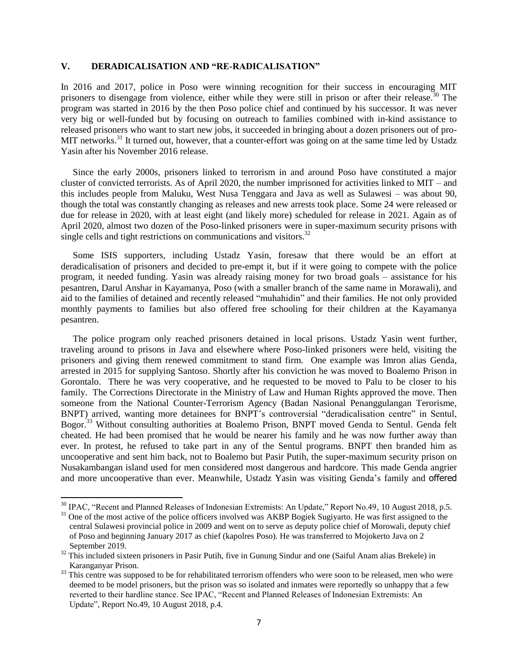### **V. DERADICALISATION AND "RE-RADICALISATION"**

In 2016 and 2017, police in Poso were winning recognition for their success in encouraging MIT prisoners to disengage from violence, either while they were still in prison or after their release.<sup>30</sup> The program was started in 2016 by the then Poso police chief and continued by his successor. It was never very big or well-funded but by focusing on outreach to families combined with in-kind assistance to released prisoners who want to start new jobs, it succeeded in bringing about a dozen prisoners out of pro-MIT networks.<sup>31</sup> It turned out, however, that a counter-effort was going on at the same time led by Ustadz Yasin after his November 2016 release.

Since the early 2000s, prisoners linked to terrorism in and around Poso have constituted a major cluster of convicted terrorists. As of April 2020, the number imprisoned for activities linked to MIT – and this includes people from Maluku, West Nusa Tenggara and Java as well as Sulawesi – was about 90, though the total was constantly changing as releases and new arrests took place. Some 24 were released or due for release in 2020, with at least eight (and likely more) scheduled for release in 2021. Again as of April 2020, almost two dozen of the Poso-linked prisoners were in super-maximum security prisons with single cells and tight restrictions on communications and visitors. $32$ 

Some ISIS supporters, including Ustadz Yasin, foresaw that there would be an effort at deradicalisation of prisoners and decided to pre-empt it, but if it were going to compete with the police program, it needed funding. Yasin was already raising money for two broad goals – assistance for his pesantren, Darul Anshar in Kayamanya, Poso (with a smaller branch of the same name in Morawali), and aid to the families of detained and recently released "muhahidin" and their families. He not only provided monthly payments to families but also offered free schooling for their children at the Kayamanya pesantren.

The police program only reached prisoners detained in local prisons. Ustadz Yasin went further, traveling around to prisons in Java and elsewhere where Poso-linked prisoners were held, visiting the prisoners and giving them renewed commitment to stand firm. One example was Imron alias Genda, arrested in 2015 for supplying Santoso. Shortly after his conviction he was moved to Boalemo Prison in Gorontalo. There he was very cooperative, and he requested to be moved to Palu to be closer to his family. The Corrections Directorate in the Ministry of Law and Human Rights approved the move. Then someone from the National Counter-Terrorism Agency (Badan Nasional Penanggulangan Terorisme, BNPT) arrived, wanting more detainees for BNPT's controversial "deradicalisation centre" in Sentul, Bogor.<sup>33</sup> Without consulting authorities at Boalemo Prison, BNPT moved Genda to Sentul. Genda felt cheated. He had been promised that he would be nearer his family and he was now further away than ever. In protest, he refused to take part in any of the Sentul programs. BNPT then branded him as uncooperative and sent him back, not to Boalemo but Pasir Putih, the super-maximum security prison on Nusakambangan island used for men considered most dangerous and hardcore. This made Genda angrier and more uncooperative than ever. Meanwhile, Ustadz Yasin was visiting Genda's family and offered

 $\overline{a}$ 

<sup>&</sup>lt;sup>30</sup> IPAC, "Recent and Planned Releases of Indonesian Extremists: An Update," Report No.49, 10 August 2018, p.5.

<sup>&</sup>lt;sup>31</sup> One of the most active of the police officers involved was AKBP Bogiek Sugiyarto. He was first assigned to the central Sulawesi provincial police in 2009 and went on to serve as deputy police chief of Morowali, deputy chief of Poso and beginning January 2017 as chief (kapolres Poso). He was transferred to Mojokerto Java on 2 September 2019.

<sup>&</sup>lt;sup>32</sup> This included sixteen prisoners in Pasir Putih, five in Gunung Sindur and one (Saiful Anam alias Brekele) in Karanganyar Prison.

 $33$  This centre was supposed to be for rehabilitated terrorism offenders who were soon to be released, men who were deemed to be model prisoners, but the prison was so isolated and inmates were reportedly so unhappy that a few reverted to their hardline stance. See IPAC, "Recent and Planned Releases of Indonesian Extremists: An Update", Report No.49, 10 August 2018, p.4.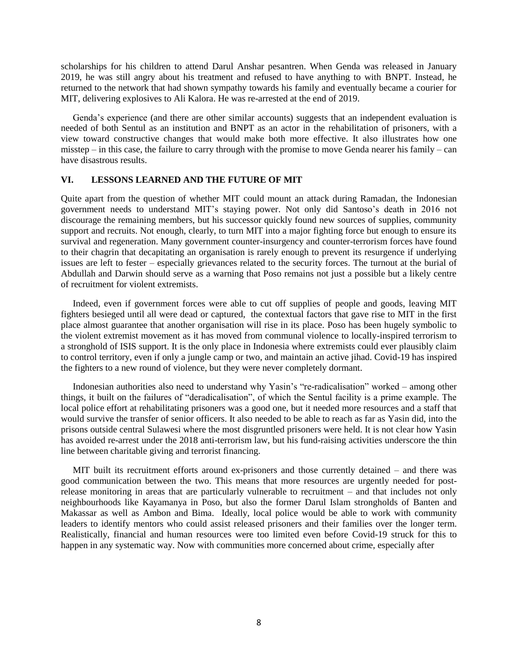scholarships for his children to attend Darul Anshar pesantren. When Genda was released in January 2019, he was still angry about his treatment and refused to have anything to with BNPT. Instead, he returned to the network that had shown sympathy towards his family and eventually became a courier for MIT, delivering explosives to Ali Kalora. He was re-arrested at the end of 2019.

Genda's experience (and there are other similar accounts) suggests that an independent evaluation is needed of both Sentul as an institution and BNPT as an actor in the rehabilitation of prisoners, with a view toward constructive changes that would make both more effective. It also illustrates how one misstep – in this case, the failure to carry through with the promise to move Genda nearer his family – can have disastrous results.

## **VI. LESSONS LEARNED AND THE FUTURE OF MIT**

Quite apart from the question of whether MIT could mount an attack during Ramadan, the Indonesian government needs to understand MIT's staying power. Not only did Santoso's death in 2016 not discourage the remaining members, but his successor quickly found new sources of supplies, community support and recruits. Not enough, clearly, to turn MIT into a major fighting force but enough to ensure its survival and regeneration. Many government counter-insurgency and counter-terrorism forces have found to their chagrin that decapitating an organisation is rarely enough to prevent its resurgence if underlying issues are left to fester – especially grievances related to the security forces. The turnout at the burial of Abdullah and Darwin should serve as a warning that Poso remains not just a possible but a likely centre of recruitment for violent extremists.

Indeed, even if government forces were able to cut off supplies of people and goods, leaving MIT fighters besieged until all were dead or captured, the contextual factors that gave rise to MIT in the first place almost guarantee that another organisation will rise in its place. Poso has been hugely symbolic to the violent extremist movement as it has moved from communal violence to locally-inspired terrorism to a stronghold of ISIS support. It is the only place in Indonesia where extremists could ever plausibly claim to control territory, even if only a jungle camp or two, and maintain an active jihad. Covid-19 has inspired the fighters to a new round of violence, but they were never completely dormant.

Indonesian authorities also need to understand why Yasin's "re-radicalisation" worked – among other things, it built on the failures of "deradicalisation", of which the Sentul facility is a prime example. The local police effort at rehabilitating prisoners was a good one, but it needed more resources and a staff that would survive the transfer of senior officers. It also needed to be able to reach as far as Yasin did, into the prisons outside central Sulawesi where the most disgruntled prisoners were held. It is not clear how Yasin has avoided re-arrest under the 2018 anti-terrorism law, but his fund-raising activities underscore the thin line between charitable giving and terrorist financing.

MIT built its recruitment efforts around ex-prisoners and those currently detained – and there was good communication between the two. This means that more resources are urgently needed for postrelease monitoring in areas that are particularly vulnerable to recruitment – and that includes not only neighbourhoods like Kayamanya in Poso, but also the former Darul Islam strongholds of Banten and Makassar as well as Ambon and Bima. Ideally, local police would be able to work with community leaders to identify mentors who could assist released prisoners and their families over the longer term. Realistically, financial and human resources were too limited even before Covid-19 struck for this to happen in any systematic way. Now with communities more concerned about crime, especially after